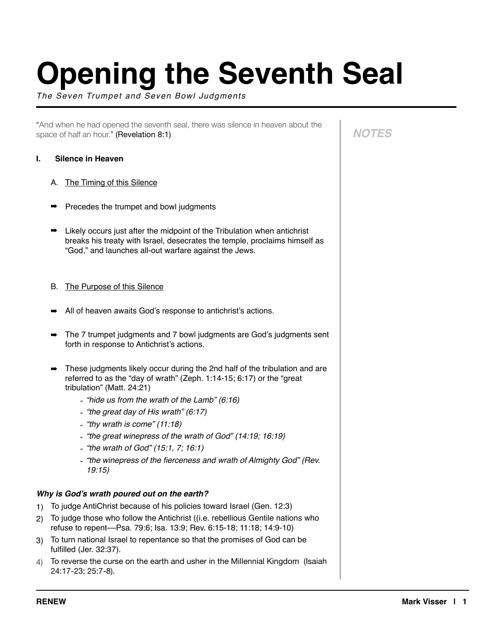# **Opening the Seventh Seal**

*The Seven Trumpet and Seven Bowl Judgments*

"And when he had opened the seventh seal, there was silence in heaven about the space of half an hour." (Revelation 8:1)

# **I. Silence in Heaven**

- A. The Timing of this Silence
- ➡ Precedes the trumpet and bowl judgments
- $\rightarrow$  Likely occurs just after the midpoint of the Tribulation when antichrist breaks his treaty with Israel, desecrates the temple, proclaims himself as "God," and launches all-out warfare against the Jews.
- B. The Purpose of this Silence
- ➡ All of heaven awaits God's response to antichrist's actions.
- ➡ The 7 trumpet judgments and 7 bowl judgments are God's judgments sent forth in response to Antichrist's actions.
- These judgments likely occur during the 2nd half of the tribulation and are referred to as the "day of wrath" (Zeph. 1:14-15; 6:17) or the "great tribulation" (Matt. 24:21)
	- *- "hide us from the wrath of the Lamb" (6:16)*
	- *- "the great day of His wrath" (6:17)*
	- *- "thy wrath is come" (11:18)*
	- *- "the great winepress of the wrath of God" (14:19; 16:19)*
	- *- "the wrath of God" (15:1, 7; 16:1)*
	- *- "the winepress of the fierceness and wrath of Almighty God" (Rev. 19:15)*

# *Why is God's wrath poured out on the earth?*

- 1) To judge AntiChrist because of his policies toward Israel (Gen. 12:3)
- 2) To judge those who follow the Antichrist ((i.e. rebellious Gentile nations who refuse to repent––Psa. 79:6; Isa. 13:9; Rev. 6:15-18; 11:18; 14:9-10)
- 3) To turn national Israel to repentance so that the promises of God can be fulfilled (Jer. 32:37).
- 4) To reverse the curse on the earth and usher in the Millennial Kingdom (Isaiah 24:17-23; 25:7-8).

*NOTES*